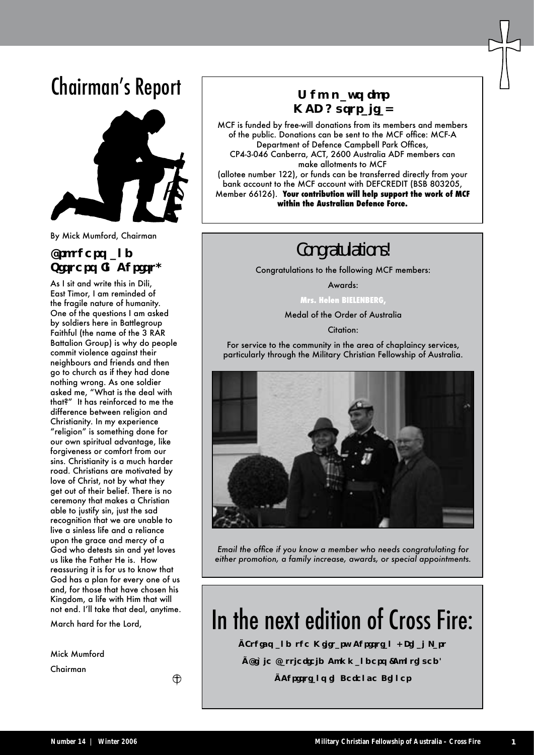### Chairman's Report



By Mick Mumford, Chairman

#### Brothers and Sisters In Christ,

As I sit and write this in Dili, East Timor, I am reminded of the fragile nature of humanity. One of the questions I am asked by soldiers here in Battlegroup Faithful (the name of the 3 RAR Battalion Group) is why do people commit violence against their neighbours and friends and then go to church as if they had done nothing wrong. As one soldier asked me, "What is the deal with that?" It has reinforced to me the difference between religion and Christianity. In my experience "religion" is something done for our own spiritual advantage, like forgiveness or comfort from our sins. Christianity is a much harder road. Christians are motivated by love of Christ, not by what they get out of their belief. There is no ceremony that makes a Christian able to justify sin, just the sad recognition that we are unable to live a sinless life and a reliance upon the grace and mercy of a God who detests sin and yet loves us like the Father He is. How reassuring it is for us to know that God has a plan for every one of us and, for those that have chosen his Kingdom, a life with Him that will not end. I'll take that deal, anytime.

March hard for the Lord,

⊕

Mick Mumford

Chairman

Who pays for MCF Australia?

MCF is funded by free-will donations from its members and members of the public. Donations can be sent to the MCF office: MCF-A Department of Defence Campbell Park Offices, CP4-3-046 Canberra, ACT, 2600 Australia ADF members can make allotments to MCF (allotee number 122), or funds can be transferred directly from your bank account to the MCF account with DEFCREDIT (BSB 803205, Member 66126). **Your contribution will help support the work of MCF within the Australian Defence Force.**

### Congratulations!

Congratulations to the following MCF members:

Awards:

**Mrs. Helen BIELENBERG,** 

Medal of the Order of Australia

Citation:

For service to the community in the area of chaplaincy services, particularly through the Military Christian Fellowship of Australia.



*Email the office if you know a member who needs congratulating for either promotion, a family increase, awards, or special appointments.*

### In the next edition of Cross Fire:

- Ethics and the Military Christian Final Part
- Bible Battlefield Commanders (Continued)
	- Christians in Defence Dinner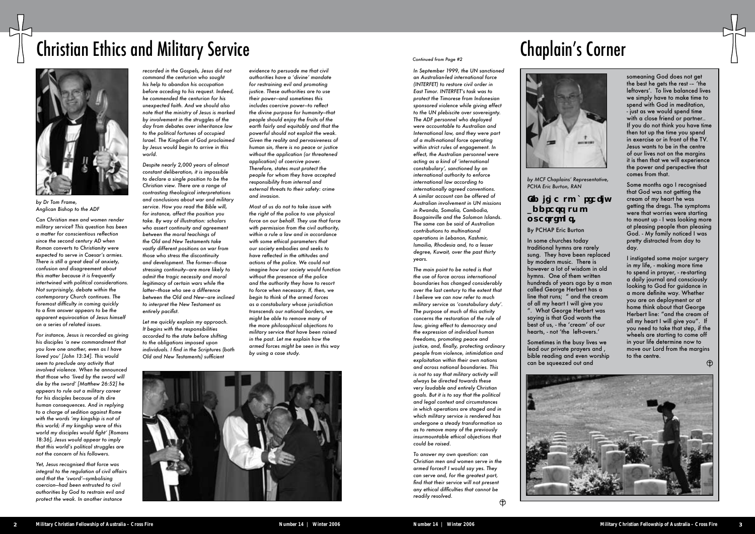*by MCF Chaplains' Representative, PCHA Eric Burton, RAN*

### I'd like to briefly address two questions.

#### By PCHAP Eric Burton

In some churches today traditional hymns are rarely sung. They have been replaced by modern music. There is however a lot of wisdom in old hymns. One of them written hundreds of years ago by a man called George Herbert has a line that runs; " and the cream of all my heart I will give you ". What George Herbert was saying is that God wants the best of us, - the 'cream' of our hearts, - not 'the left-overs.'

Sometimes in the busy lives we lead our private prayers and , bible reading and even worship can be squeezed out and



# Chaplain's Corner



someaning God does not get the best he gets the rest -– 'the leftovers'. To live balanced lives we simply have to make time to spend with God in meditation, - just as we would spend time with a close friend or partner.. If you do not think you have time then tot up the time you spend in exercise or in front of the TV. Jesus wants to be in the centre of our lives not on the margins it is then that we will experience the power and perspective that comes from that.

Some months ago I recognised that God was not getting the cream of my heart he was getting the dregs. The symptoms were that worries were starting to mount up - I was looking more at pleasing people than pleasing God. - My family noticed I was pretty distracted from day to day.

I instigated some major surgery in my life, - making more time to spend in prayer, - re-starting a daily journal and consciously looking to God for guidance in a more definite way. Whether you are on deployment or at home think about that George Herbert line: "and the cream of all my heart I will give you". If you need to take that step, if the wheels are starting to come off in your life determine now to move our Lord from the margins to the centre.

 $\oplus$ 

## Christian Ethics and Military Service



*by Dr Tom Frame, Anglican Bishop to the ADF*

*Can Christian men and women render military service? This question has been a matter for conscientious reflection since the second century AD when Roman converts to Christianity were expected to serve in Caesar's armies. There is still a great deal of anxiety, confusion and disagreement about this matter because it is frequently intertwined with political considerations. Not surprisingly, debate within the contemporary Church continues. The foremost difficulty in coming quickly to a firm answer appears to be the apparent equivocation of Jesus himself on a series of related issues.* 

*For instance, Jesus is recorded as giving his disciples 'a new commandment that you love one another, even as I have loved you' [John 13:34]. This would seem to preclude any activity that involved violence. When he announced that those who 'lived by the sword will die by the sword' [Matthew 26:52] he appears to rule out a military career for his disciples because of its dire human consequences. And in replying to a charge of sedition against Rome with the words 'my kingship is not of this world; if my kingship were of this world my disciples would fight' [Romans 18:36], Jesus would appear to imply that this world's political struggles are not the concern of his followers.* 

*Yet, Jesus recognised that force was integral to the regulation of civil affairs and that the 'sword'—symbolising coercion—had been entrusted to civil authorities by God to restrain evil and protect the weak. In another instance* 

*recorded in the Gospels, Jesus did not command the centurion who sought his help to abandon his occupation before acceding to his request. Indeed, he commended the centurion for his unexpected faith. And we should also note that the ministry of Jesus is marked by involvement in the struggles of the day from debates over inheritance law to the political fortunes of occupied Israel. The Kingdom of God proclaimed by Jesus would begin to arrive in this world.*

*Despite nearly 2,000 years of almost constant deliberation, it is impossible to declare a single position to be the Christian view. There are a range of contrasting theological interpretations and conclusions about war and military service. How you read the Bible will, for instance, affect the position you take. By way of illustration: scholars who assert continuity and agreement between the moral teachings of the Old and New Testaments take vastly different positions on war from those who stress the discontinuity and development. The former—those stressing continuity—are more likely to admit the tragic necessity and moral legitimacy of certain wars while the latter—those who see a difference between the Old and New—are inclined to interpret the New Testament as entirely pacifist.* 

*Let me quickly explain my approach. It begins with the responsibilities accorded to the state before shifting to the obligations imposed upon individuals. I find in the Scriptures (both Old and New Testaments) sufficient* 

*evidence to persuade me that civil authorities have a 'divine' mandate for restraining evil and promoting justice. These authorities are to use their power—and sometimes this includes coercive power—to reflect the divine purpose for humanity—that people should enjoy the fruits of the earth fairly and equitably and that the powerful should not exploit the weak. Given the reality and pervasiveness of human sin, there is no peace or justice without the application (or threatened application) of coercive power. Therefore, states must protect the people for whom they have accepted responsibility from internal and external threats to their safety: crime and invasion.*

*Most of us do not to take issue with the right of the police to use physical force on our behalf. They use that force with permission from the civil authority, within a rule a law and in accordance with some ethical parameters that our society embodies and seeks to have reflected in the attitudes and actions of the police. We could not imagine how our society would function without the presence of the police and the authority they have to resort to force when necessary. If, then, we begin to think of the armed forces as a constabulary whose jurisdiction transcends our national borders, we might be able to remove many of the more philosophical objections to military service that have been raised in the past. Let me explain how the armed forces might be seen in this way by using a case study.* 



*In September 1999, the UN sanctioned an Australian-led international force (INTERFET) to restore civil order in East Timor. INTERFET's task was to protect the Timorese from Indonesian sponsored violence while giving effect to the UN plebiscite over sovereignty. The ADF personnel who deployed were accountable to Australian and International law, and they were part of a multi-national force operating within strict rules of engagement. In effect, the Australian personnel were acting as a kind of 'international constabulary', sanctioned by an international authority to enforce international law according to internationally agreed conventions. A similar account can be offered of Australian involvement in UN missions in Rwanda, Somalia, Cambodia, Bougainville and the Solomon Islands. The same can be said of Australian contributions to multinational operations in Lebanon, Kashmir, Ismailia, Rhodesia and, to a lesser degree, Kuwait, over the past thirty years.* 

*The main point to be noted is that the use of force across international boundaries has changed considerably over the last century to the extent that I believe we can now refer to much military service as 'constabulary duty'. The purpose of much of this activity concerns the restoration of the rule of law, giving effect to democracy and the expression of individual human freedoms, promoting peace and justice, and, finally, protecting ordinary people from violence, intimidation and exploitation within their own nations and across national boundaries. This is not to say that military activity will always be directed towards these very laudable and entirely Christian goals. But it is to say that the political and legal context and circumstances in which operations are staged and in which military service is rendered has undergone a steady transformation so as to remove many of the previously insurmountable ethical objections that could be raised.* 

*To answer my own question: can Christian men and women serve in the armed forces? I would say yes. They can serve and, for the greatest part, find that their service will not present any ethical difficulties that cannot be readily resolved.* 

 $\bigoplus$ 

#### *Continued from Page #2*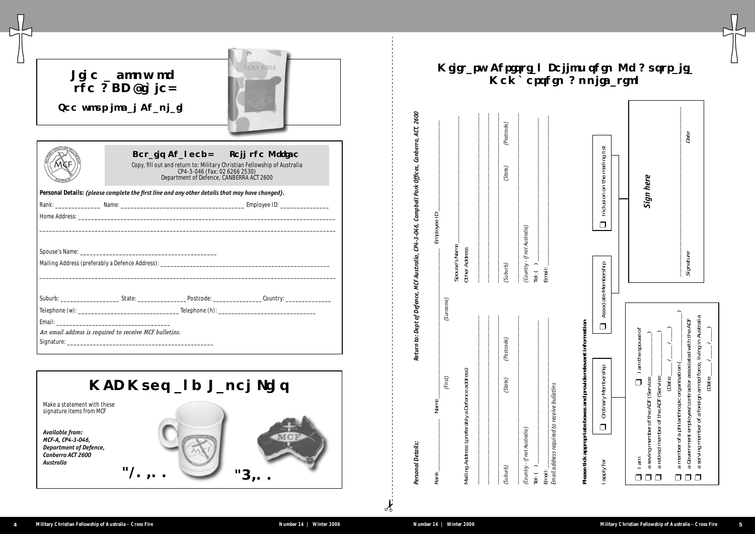|                                                                                                         | <b>MCF Mugs and Lapel Pins</b> |        |
|---------------------------------------------------------------------------------------------------------|--------------------------------|--------|
| Make a statement with these<br>signature items from MCF                                                 |                                |        |
| Available from:<br>MCF-A, CP4-3-046,<br><b>Department of Defence,</b><br>Canberra ACT 2600<br>Australia | \$10.00                        | \$5.00 |

| Like a copy of<br>the ADF Bible?<br>See your local Chaplain |                                          | <b>HOLY BIBLE</b>                                                                                                                              |
|-------------------------------------------------------------|------------------------------------------|------------------------------------------------------------------------------------------------------------------------------------------------|
|                                                             | Department of Defence, CANBERRA ACT 2600 | Details Changed? Tell the Office!<br>Copy, fill out and return to: Military Christian Fellowship of Australia<br>CP4-3-046 (Fax: 02 6266 2530) |
|                                                             |                                          | Personal Details: (please complete the first line and any other details that may have changed).                                                |
|                                                             |                                          |                                                                                                                                                |
|                                                             |                                          |                                                                                                                                                |
|                                                             |                                          |                                                                                                                                                |
| An email address is required to receive MCF bulletins.      |                                          |                                                                                                                                                |

| Name<br>Rank                                   |            | Employee ID                                |         |            |
|------------------------------------------------|------------|--------------------------------------------|---------|------------|
| (First)                                        | (Surname)  |                                            |         |            |
| Mailing Address (preferably a Defence address) |            | Spouse's Name<br><b>Other Address</b>      |         |            |
|                                                |            |                                            |         |            |
| (State)<br>(Suburb)                            | (Postcode) | (Suburb)                                   | (State) | (Postcode) |
| (Country - if not Australia)<br>Tel: $( )$     |            | (Country - if not Australia)<br>Tel: $( )$ |         |            |
| Email:                                         |            | Email:                                     |         |            |

 $\int_{0}^{1}$ 



### ellowship Of Australia p Application

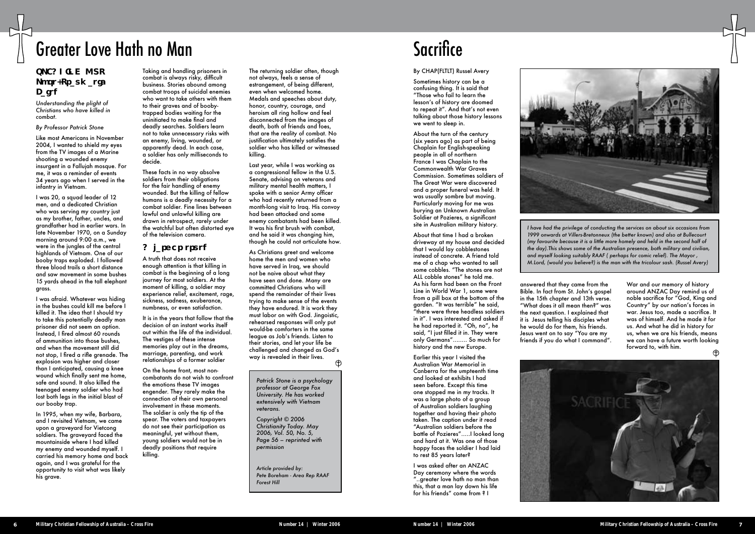### Greater Love Hath no Man

#### SPEAKING OUT Post-Traumatic Faith

*Understanding the plight of Christians who have killed in combat.*

#### *By Professor Patrick Stone*

Like most Americans in November 2004, I wanted to shield my eyes from the TV images of a Marine shooting a wounded enemy insurgent in a Fallujah mosque. For me, it was a reminder of events 34 years ago when I served in the infantry in Vietnam.

I was 20, a squad leader of 12 men, and a dedicated Christian who was serving my country just as my brother, father, uncles, and grandfather had in earlier wars. In late November 1970, on a Sunday morning around 9:00 a.m., we were in the jungles of the central highlands of Vietnam. One of our booby traps exploded. I followed three blood trails a short distance and saw movement in some bushes 15 yards ahead in the tall elephant grass.

I was afraid. Whatever was hiding in the bushes could kill me before I killed it. The idea that I should try to take this potentially deadly man prisoner did not seem an option. Instead, I fired almost 60 rounds of ammunition into those bushes, and when the movement still did not stop, I fired a rifle grenade. The explosion was higher and closer than I anticipated, causing a knee wound which finally sent me home, safe and sound. It also killed the teenaged enemy soldier who had lost both legs in the initial blast of our booby trap.

In 1995, when my wife, Barbara, and I revisited Vietnam, we came upon a graveyard for Vietcong soldiers. The graveyard faced the mountainside where I had killed my enemy and wounded myself. I carried his memory home and back again, and I was grateful for the opportunity to visit what was likely his grave.

Taking and handling prisoners in combat is always risky, difficult business. Stories abound among combat troops of suicidal enemies who want to take others with them to their graves and of boobytrapped bodies waiting for the uninitiated to make final and deadly searches. Soldiers learn not to take unnecessary risks with an enemy, living, wounded, or apparently dead. In each case, a soldier has only milliseconds to decide.

These facts in no way absolve soldiers from their obligations for the fair handling of enemy wounded. But the killing of fellow humans is a deadly necessity for a combat soldier. Fine lines between lawful and unlawful killing are drawn in retrospect, rarely under the watchful but often distorted eye of the television camera.

#### A larger truth

A truth that does not receive enough attention is that killing in combat is the beginning of a long journey for most soldiers. At the moment of killing, a soldier may experience relief, excitement, rage, sickness, sadness, exuberance, numbness, or even satisfaction.

It is in the years that follow that the decision of an instant works itself out within the life of the individual. The vestiges of these intense memories play out in the dreams, marriage, parenting, and work relationships of a former soldier

On the home front, most noncombatants do not wish to confront the emotions these TV images engender. They rarely make the connection of their own personal involvement in these moments. The soldier is only the tip of the spear. The voters and taxpayers do not see their participation as meaningful, yet without them, young soldiers would not be in deadly positions that require killing.

The returning soldier often, though not always, feels a sense of estrangement, of being different, even when welcomed home. Medals and speeches about duty, honor, country, courage, and heroism all ring hollow and feel disconnected from the images of death, both of friends and foes, that are the reality of combat. No justification ultimately satisfies the soldier who has killed or witnessed killing.

Last year, while I was working as a congressional fellow in the U.S. Senate, advising on veterans and military mental health matters, I spoke with a senior Army officer who had recently returned from a month-long visit to Iraq. His convoy had been attacked and some enemy combatants had been killed. It was his first brush with combat, and he said it was changing him, though he could not articulate how.

As Christians greet and welcome home the men and women who have served in Iraq, we should not be naive about what they have seen and done. Many are committed Christians who will spend the remainder of their lives trying to make sense of the events they have endured. It is work they must labor on with God. Jingoistic, rehearsed responses will only put would-be comforters in the same league as Job's friends. Listen to their stories, and let your life be challenged and changed as God's way is revealed in their lives.

*Patrick Stone is a psychology professor at George Fox University. He has worked extensively with Vietnam veterans.*

*Copyright © 2006 Christianity Today. May 2006, Vol. 50, No. 5, Page 56 – reprinted with permission*

*Article provided by: Pete Boreham - Area Rep RAAF Forest Hill* 

### **Sacrifice**

#### By CHAP(FLTLT) Russel Avery

Sometimes history can be a confusing thing. It is said that "Those who fail to learn the lesson's of history are doomed to repeat it". And that's not even talking about those history lessons we went to sleep in.

About the turn of the century (six years ago) as part of being Chaplain for English-speaking people in all of northern France I was Chaplain to the Commonwealth War Graves Commission. Sometimes soldiers of The Great War were discovered and a proper funeral was held. It was usually sombre but moving. Particularly moving for me was burying an Unknown Australian Soldier at Pozieres, a significant site in Australian military history.

About that time I had a broken driveway at my house and decided that I would lay cobblestones instead of concrete. A friend told me of a chap who wanted to sell some cobbles. "The stones are not ALL cobble stones" he told me. As his farm had been on the Front Line in World War 1, some were from a pill box at the bottom of the garden. "It was terrible" he said, "there were three headless soldiers in it". I was interested and asked if he had reported it. "Oh, no", he said, "I just filled it in. They were only Germans"…….. So much for history and the new Europe.

Earlier this year I visited the Australian War Memorial in Canberra for the umpteenth time and looked at exhibits I had seen before. Except this time one stopped me in my tracks. It was a large photo of a group of Australian soldiers laughing together and having their photo taken. The caption under it read "Australian soldiers before the battle of Pozieres"…..I looked long and hard at it. Was one of those happy faces the soldier I had laid to rest 85 years later?

I was asked after an ANZAC Day ceremony where the words "..greater love hath no man than this, that a man lay down his life for his friends" come from ? I



answered that they came from the Bible. In fact from St. John's gospel in the 15th chapter and 13th verse. "What does it all mean then?" was the next question. I explained that it is Jesus telling his disciples what he would do for them, his friends. Jesus went on to say "You are my friends if you do what I command".



*I have had the privilege of conducting the services on about six occasions from 1999 onwards at Villers-Bretonneux (the better known) and also at Bullecourt (my favourite because it is a little more homely and held in the second half of the day).This shows some of the Australian presence, both military and civilian, and myself looking suitably RAAF ( perhaps for comic relief). The Mayor , M.Lord, (would you believe?) is the man with the tricolour sash. (Russel Avery)*

> War and our memory of history around ANZAC Day remind us of noble sacrifice for "God, King and Country" by our nation's forces in war. Jesus too, made a sacrifice. It was of himself. And he made it for us. And what he did in history for us, when we are his friends, means we can have a future worth looking forward to, with him.

![](_page_4_Picture_35.jpeg)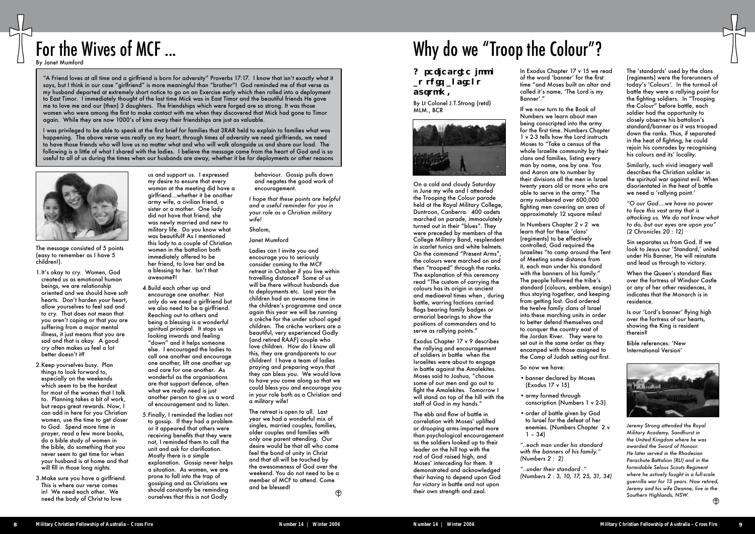#### A reflective look at this ancient custom.

By Lt Colonel J.T.Strong (retd) MLM., BCR

![](_page_5_Picture_21.jpeg)

On a cold and cloudy Saturday in June my wife and I attended the Trooping the Colour parade held at the Royal Military College, Duntroon, Canberra. 400 cadets marched on parade, immaculately turned out in their "blues". They were preceded by members of the College Military Band, resplendent in scarlet tunics and white helmets. On the command "Present Arms", the colours were marched on and then "trooped" through the ranks. The explanation of this ceremony read "The custom of carrying the colours has its origin in ancient and mediaeval times when , during battle, warring factions carried flags bearing family badges or armorial bearings to show the positions of commanders and to serve as rallying points."

Exodus Chapter 17 v 9 describes the rallying and encouragement of soldiers in battle when the Israelites were about to engage in battle against the Amalekites. Moses said to Joshua, "choose some of our men and go out to fight the Amalekites. Tomorrow I will stand on top of the hill with the staff of God in my hands."

- banner declared by Moses (Exodus 17 v 15)
- army formed through conscription (Numbers 1 v 2-3)
- order of battle given by God to Israel for the defeat of her  $1 - 34$

The ebb and flow of battle in correlation with Moses' uplifted or drooping arms imparted more than psychological encouragement as the soldiers looked up to their leader on the hill top with the rod of God raised high, and Moses' interceding for them. It demonstrated and acknowledged their having to depend upon God for victory in battle and not upon their own strength and zeal.

In Exodus Chapter 17 v 15 we read of the word 'banner' for the first time "and Moses built an altar and called it's name, 'The Lord is my Banner'."

If we now turn to the Book of Numbers we learn about men being conscripted into the army for the first time. Numbers Chapter 1 v 2-3 tells how the Lord instructs Moses to "Take a census of the whole Israelite community by their clans and families, listing every man by name, one by one. You and Aaron are to number by their divisions all the men in Israel twenty years old or more who are able to serve in the army." The army numbered over 600,000 fighting men covering an area of approximately 12 square miles!

In Numbers Chapter 2 v 2 we learn that for these 'clans' (regiments) to be effectively controlled, God required the Israelites "to camp around the Tent of Meeting some distance from it, each man under his standard with the banners of his family." The people followed the tribe's standard (colours, emblem, ensign) thus staying together, and keeping from getting lost. God ordered the twelve family clans of Israel into these marching units in order to better defend themselves and to conquer the country east of the Jordan River. They were to set out in the same order as they encamped with those assigned to the Camp of Judah setting out first.

So now we have:

enemies. (Numbers Chapter 2 v

*"..each man under his standard with the banners of his family." (Numbers 2 : 2)*

*"..under their standard ." (Numbers 2 : 3, 10, 17, 25, 31, 34)*

The 'standards' used by the clans (regiments) were the forerunners of today's 'Colours'. In the turmoil of battle they were a rallying point for the fighting soldiers. In "Trooping the Colour" before battle, each soldier had the opportunity to closely observe his battalion's standard/banner as it was trooped down the ranks. Thus, if separated in the heat of fighting, he could rejoin his comrades by recognising his colours and its' locality.

Similarly, such vivid imagery well describes the Christian soldier in the spiritual war against evil. When disorientated in the heat of battle we need a 'rallying point.'

*"O our God….we have no power to face this vast army that is attacking us. We do not know what to do, but our eyes are upon you" (2 Chronicles 20 : 12)*

Sin separates us from God. If we look to Jesus our 'Standard,' united under His Banner, He will reinstate and lead us through to victory.

When the Queen's standard flies over the fortress of Windsor Castle or any of her other residences, it indicates that the Monarch is in residence.

Is our 'Lord's banner' flying high over the fortress of our hearts, showing the King is resident therein?

Bible references: 'New International Version'

![](_page_5_Picture_49.jpeg)

*Jeremy Strong attended the Royal Military Academy, Sandhurst in the United Kingdom where he was awarded the Sword of Honour. He later served in the Rhodesian Parachute Battalion (RLI) and in the formidable Selous Scouts Regiment where he actively fought in a full-scale guerrilla war for 13 years. Now retired, Jeremy and his wife Deanne, live in the Southern Highlands, NSW.*

The retreat is open to all. Last year we had a wonderful mix of singles, married couples, families, older couples and families with only one parent attending. Our desire would be that all who come feel the bond of unity in Christ and that all will be touched by the awesomeness of God over the weekend. You do not need to be a member of MCF to attend. Come and be blessed!  $\bigoplus$ 

# For the Wives of MCF ... South Arrow Colour"?

"A Friend loves at all time and a girlfriend is born for adversity" Proverbs 17:17. I know that isn't exactly what it says, but I think in our case "girlfriend" is more meaningful than "brother"! God reminded me of that verse as my husband departed at extremely short notice to go on an Exercise early which then rolled into a deployment to East Timor. I immediately thought of the last time Mick was in East Timor and the beautiful friends He gave me to love me and our (then) 3 daughters. The friendships which were forged are so strong. It was those women who were among the first to make contact with me when they discovered that Mick had gone to Timor again. While they are now 1000's of kms away their friendships are just as valuable.

I was privileged to be able to speak at the first brief for families that 3RAR held to explain to families what was happening. The above verse was really on my heart, through times of adversity we need girlfriends, we need to have those friends who will love us no matter what and who will walk alongside us and share our load. The following is a little of what I shared with the ladies. I believe the message came from the heart of God and is so useful to all of us during the times when our husbands are away, whether it be for deployments or other reasons

The message consisted of 5 points (easy to remember as I have 5 children!).

- 1.It's okay to cry. Women, God created us as emotional human beings, we are relationship oriented and we should have soft hearts. Don't harden your heart, allow yourselves to feel sad and to cry. That does not mean that you aren't coping or that you are suffering from a major mental illness, it just means that you are sad and that is okay. A good cry often makes us feel a lot better doesn't it?
- 2.Keep yourselves busy. Plan things to look forward to, especially on the weekends which seem to be the hardest for most of the women that I talk to. Planning takes a bit of work, but reaps great rewards. Now, I can add in here for you Christian women, use the time to get closer to God. Spend more time in prayer, read a few more books, do a bible study of women in the bible, do something that you never seem to get time for when your husband is at home and that will fill in those long nights.
- 3.Make sure you have a girlfriend. This is where our verse comes in! We need each other. We need the body of Christ to love

us and support us. I expressed

![](_page_5_Picture_4.jpeg)

my desire to ensure that every woman at the meeting did have a girlfriend…whether it be another army wife, a civilian friend, a sister or a mother. One lady did not have that friend, she was newly married and new to military life. Do you know what was beautiful? As I mentioned this lady to a couple of Christian women in the battalion both immediately offered to be her friend, to love her and be a blessing to her. Isn't that awesome?!

- 4.Build each other up and encourage one another. Not only do we need a girlfriend but we also need to be a girlfriend. Reaching out to others and being a blessing is a wonderful spiritual principal. It stops us looking inwards and feeling "down" and it helps someone else. I encouraged the ladies to call one another and encourage one another, lift one another up and care for one another. As wonderful as the organisations are that support defence, often what we really need is just another person to give us a word of encouragement and to listen.
- 5.Finally, I reminded the ladies not to gossip. If they had a problem or it appeared that others were receiving benefits that they were not, I reminded them to call the unit and ask for clarification. Mostly there is a simple explanation. Gossip never helps a situation. As women, we are prone to fall into the trap of gossiping and as Christians we should constantly be reminding ourselves that this is not Godly

behaviour. Gossip pulls down and negates the good work of encouragement.

*I hope that these points are helpful and a useful reminder for you in your role as a Christian military wife!*

Shalom,

Janet Mumford

Ladies can I invite you and encourage you to seriously consider coming to the MCF retreat in October if you live within travelling distance? Some of us will be there without husbands due to deployments etc. Last year the children had an awesome time in the children's programme and once again this year we will be running a crèche for the under school aged children. The crèche workers are a beautiful, very experienced Godly (and retired RAAF) couple who love children. How do I know all this, they are grandparents to our children! I have a team of ladies praying and preparing ways that they can bless you. We would love to have you come along so that we could bless you and encourage you in your role both as a Christian and a military wife!

By Janet Mumford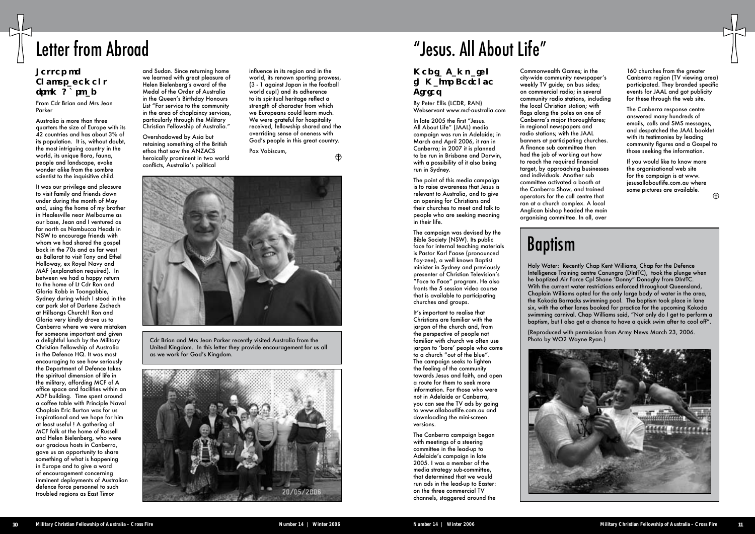### Letter of Encouragement from Abroad

From Cdr Brian and Mrs Jean Parker

Australia is more than three quarters the size of Europe with its 42 countries and has about 3% of its population. It is, without doubt, the most intriguing country in the world, its unique flora, fauna, people and landscape, evoke wonder alike from the sombre scientist to the inquisitive child.

It was our privilege and pleasure to visit family and friends down under during the month of May and, using the home of my brother in Healesville near Melbourne as our base, Jean and I ventured as far north as Nambucca Heads in NSW to encourage friends with whom we had shared the gospel back in the 70s and as far west as Ballarat to visit Tony and Ethel Holloway, ex Royal Navy and MAF (explanation required). In between we had a happy return to the home of Lt Cdr Ron and Gloria Robb in Toongabbie, Sydney during which I stood in the car park slot of Darlene Zschech at Hillsongs Church!! Ron and Gloria very kindly drove us to Canberra where we were mistaken for someone important and given a delightful lunch by the Military Christian Fellowship of Australia in the Defence HQ. It was most encouraging to see how seriously the Department of Defence takes the spiritual dimension of life in the military, affording MCF of A office space and facilities within an ADF building. Time spent around a coffee table with Principle Naval Chaplain Eric Burton was for us inspirational and we hope for him at least useful ! A gathering of MCF folk at the home of Russell and Helen Bielenberg, who were our gracious hosts in Canberra, gave us an opportunity to share something of what is happening in Europe and to give a word of encouragement concerning imminent deployments of Australian defence force personnel to such troubled regions as East Timor

## Letter from Abroad

and Sudan. Since returning home we learned with great pleasure of Helen Bielenberg's award of the Medal of the Order of Australia in the Queen's Birthday Honours List "For service to the community in the area of chaplaincy services, particularly through the Military Christian Fellowship of Australia."

Overshadowed by Asia but retaining something of the British ethos that saw the ANZACS heroically prominent in two world conflicts, Australia's political

influence in its region and in the world, its renown sporting prowess, (3 - 1 against Japan in the football world cup!) and its adherence to its spiritual heritage reflect a strength of character from which we Europeans could learn much. We were arateful for hospitality received, fellowship shared and the overriding sense of oneness with God's people in this great country.

 $\bigoplus$ 

Pax Vobiscum,

![](_page_6_Picture_9.jpeg)

Cdr Brian and Mrs Jean Parker recently visited Australia from the United Kingdom. In this letter they provide encouragement for us all as we work for God's Kingdom.

![](_page_6_Picture_11.jpeg)

#### Media Campaign in Major Defence Cities

By Peter Ellis (LCDR, RAN) Webservant www.mcf-australia.com

In late 2005 the first "Jesus. All About Life" (JAAL) media campaign was run in Adelaide; in March and April 2006, it ran in Canberra; in 2007 it is planned to be run in Brisbane and Darwin, with a possibility of it also being run in Sydney.

The point of this media campaign is to raise awareness that Jesus is relevant to Australia, and to give an opening for Christians and their churches to meet and talk to people who are seeking meaning in their life.

The campaign was devised by the Bible Society (NSW). Its public face for internal teaching materials is Pastor Karl Faase (pronounced Fay-zee), a well known Baptist minister in Sydney and previously presenter of Christian Television's "Face to Face" program. He also fronts the 5 session video course that is available to participating churches and groups.

It's important to realise that Christians are familiar with the jargon of the church and, from the perspective of people not familiar with church we often use jargon to 'bore' people who come to a church "out of the blue". The campaign seeks to lighten the feeling of the community towards Jesus and faith, and open a route for them to seek more information. For those who were not in Adelaide or Canberra, you can see the TV ads by going to www.allaboutlife.com.au and downloading the mini-screen versions.

The Canberra campaign began with meetings of a steering committee in the lead-up to Adelaide's campaign in late 2005. I was a member of the media strategy sub-committee, that determined that we would run ads in the lead-up to Easter: on the three commercial TV channels, staggered around the

# "Jesus. All About Life"

Commonwealth Games; in the city-wide community newspaper's weekly TV guide; on bus sides; on commercial radio; in several community radio stations, including the local Christian station; with flags along the poles on one of Canberra's major thoroughfares; in regional newspapers and radio stations; with the JAAL banners at participating churches. A finance sub committee then had the job of working out how to reach the required financial target, by approaching businesses and individuals. Another sub committee activated a booth at the Canberra Show, and trained operators for the call centre that ran at a church complex. A local Anglican bishop headed the main organising committee. In all, over

# Baptism

Holy Water: Recently Chap Kent Williams, Chap for the Defence Intelligence Training centre Canungra (DIntTC), took the plunge when he baptized Air Force Cpl Shane 'Donny" Donaghy from DIntTC. With the current water restrictions enforced throughout Queensland, Chaplain Williams opted for the only large body of water in the area, the Kokoda Barracks swimming pool. The baptism took place in lane six, with the other lanes booked for practice for the upcoming Kokoda swimming carnival. Chap Williams said, "Not only do I get to perform a baptism, but I also get a chance to have a quick swim after to cool off".

(Reproduced with permission from Army News March 23, 2006. Photo by WO2 Wayne Ryan.)

![](_page_6_Picture_24.jpeg)

160 churches from the greater Canberra region (TV viewing area) participated. They branded specific events for JAAL and got publicity for these through the web site.

The Canberra response centre answered many hundreds of emails, calls and SMS messages, and despatched the JAAL booklet with its testimonies by leading community figures and a Gospel to those seeking the information.

If you would like to know more the organisational web site for the campaign is at www. jesusallaboutlife.com.au where some pictures are available.

![](_page_6_Picture_34.jpeg)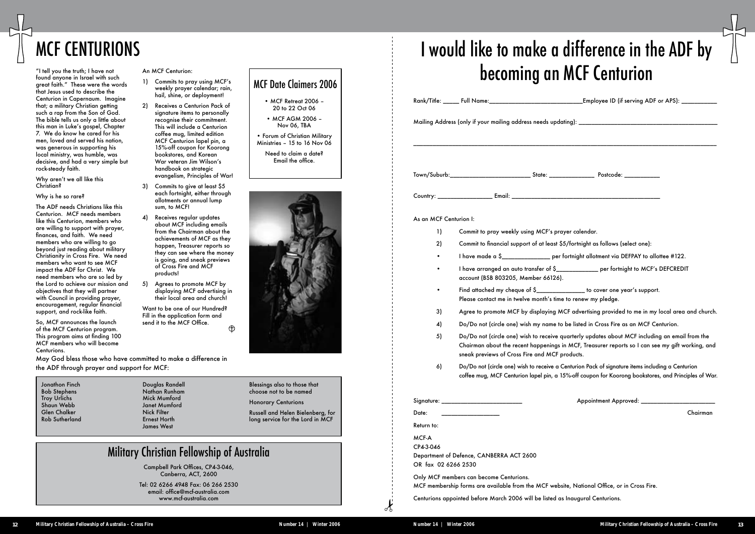### MCF Date Claimers 2006

- MCF Retreat 2006 20 to 22 Oct 06
- MCF AGM 2006 Nov 06, TBA
- Forum of Christian Military Ministries – 15 to 16 Nov 06

Need to claim a date? Email the office.

![](_page_7_Picture_27.jpeg)

# MCF CENTURIONS

"I tell you the truth; I have not found anyone in Israel with such great faith." These were the words that Jesus used to describe the Centurion in Capernaum. Imagine that; a military Christian getting such a rap from the Son of God. The bible tells us only a little about this man in Luke's gospel, Chapter 7. We do know he cared for his men, loved and served his nation, was generous in supporting his local ministry, was humble, was decisive, and had a very simple but rock-steady faith.

Why aren't we all like this Christian?

#### Why is he so rare?

The ADF needs Christians like this Centurion. MCF needs members like this Centurion, members who are willing to support with prayer, finances, and faith. We need members who are willing to go beyond just reading about military Christianity in Cross Fire. We need members who want to see MCF impact the ADF for Christ. We need members who are so led by the Lord to achieve our mission and objectives that they will partner with Council in providing prayer, encouragement, regular financial support, and rock-like faith.

Want to be one of our Hundred? Fill in the application form and send it to the MCF Office.  $\bigoplus$ 

So, MCF announces the launch of the MCF Centurion program. This program aims at finding 100 MCF members who will become Centurions.

#### An MCF Centurion:

|                        |                                                                                                                | Rank/Title: _____ Full Name:__________________________________Employee ID (if serving ADF or APS): __________                                                                                            |          |
|------------------------|----------------------------------------------------------------------------------------------------------------|----------------------------------------------------------------------------------------------------------------------------------------------------------------------------------------------------------|----------|
|                        |                                                                                                                |                                                                                                                                                                                                          |          |
|                        |                                                                                                                |                                                                                                                                                                                                          |          |
|                        | Town/Suburb:_________________________________State: _____________________________ Postcode: __________________ |                                                                                                                                                                                                          |          |
|                        |                                                                                                                |                                                                                                                                                                                                          |          |
| As an MCF Centurion I: |                                                                                                                |                                                                                                                                                                                                          |          |
| 1)                     | Commit to pray weekly using MCF's prayer calendar.                                                             |                                                                                                                                                                                                          |          |
| 2)                     | Commit to financial support of at least \$5/fortnight as follows (select one):                                 |                                                                                                                                                                                                          |          |
| ٠                      |                                                                                                                | I have made a \$__________________ per fortnight allotment via DEFPAY to allottee #122.                                                                                                                  |          |
|                        | account (BSB 803205, Member 66126).                                                                            | I have arranged an auto transfer of \$_____________ per fortnight to MCF's DEFCREDIT                                                                                                                     |          |
|                        | Please contact me in twelve month's time to renew my pledge.                                                   | Find attached my cheque of \$________________ to cover one year's support.                                                                                                                               |          |
| 3)                     |                                                                                                                | Agree to promote MCF by displaying MCF advertising provided to me in my local area and church.                                                                                                           |          |
| 4)                     |                                                                                                                | Do/Do not (circle one) wish my name to be listed in Cross Fire as an MCF Centurion.                                                                                                                      |          |
| 5)                     | sneak previews of Cross Fire and MCF products.                                                                 | Do/Do not (circle one) wish to receive quarterly updates about MCF including an email from the<br>Chairman about the recent happenings in MCF, Treasurer reports so I can see my gift working, and       |          |
| 6)                     |                                                                                                                | Do/Do not (circle one) wish to receive a Centurion Pack of signature items including a Centurion<br>coffee mug, MCF Centurion lapel pin, a 15%-off coupon for Koorong bookstores, and Principles of War. |          |
|                        |                                                                                                                | Appointment Approved: ____________                                                                                                                                                                       |          |
| Date:                  |                                                                                                                |                                                                                                                                                                                                          | Chairman |
| Return to:             |                                                                                                                |                                                                                                                                                                                                          |          |
| MCF-A                  |                                                                                                                |                                                                                                                                                                                                          |          |
| CP4-3-046              | Department of Defence, CANBERRA ACT 2600                                                                       |                                                                                                                                                                                                          |          |
| OR fax 02 6266 2530    |                                                                                                                |                                                                                                                                                                                                          |          |
|                        | Only MCF members can become Centurions.                                                                        |                                                                                                                                                                                                          |          |
|                        | MCF membership forms are available from the MCF website, National Office, or in Cross Fire.                    |                                                                                                                                                                                                          |          |
|                        | Centurions appointed before March 2006 will be listed as Inaugural Centurions.                                 |                                                                                                                                                                                                          |          |

- 1) Commits to pray using MCF's weekly prayer calendar; rain, hail, shine, or deployment!
- 2) Receives a Centurion Pack of signature items to personally recognise their commitment. This will include a Centurion coffee mug, limited edition MCF Centurion lapel pin, a 15%-off coupon for Koorong bookstores, and Korean War veteran Jim Wilson's handbook on strategic evangelism, Principles of War!
- 3) Commits to give at least \$5 each fortnight, either through allotments or annual lump sum, to MCF!
- 4) Receives regular updates about MCF including emails from the Chairman about the achievements of MCF as they happen, Treasurer reports so they can see where the money is going, and sneak previews of Cross Fire and MCF products!
- 5) Agrees to promote MCF by displaying MCF advertising in their local area and church!

### Military Christian Fellowship of Australia

Campbell Park Offices, CP4-3-046, Canberra, ACT, 2600

Tel: 02 6266 4948 Fax: 06 266 2530 email: office@mcf-australia.com www.mcf-australia.com

May God bless those who have committed to make a difference in the ADF through prayer and support for MCF:

Jonathon Finch Bob Stephens Troy Urlichs Shaun Webb Glen Chalker Rob Sutherland Blessings also to those that choose not to be named

Honorary Centurions

Russell and Helen Bielenberg, for long service for the Lord in MCF

Douglas Randell Nathan Runham Mick Mumford Janet Mumford Nick Filter Ernest Horth James West

# I would like to make a difference in the ADF by becoming an MCF Centurion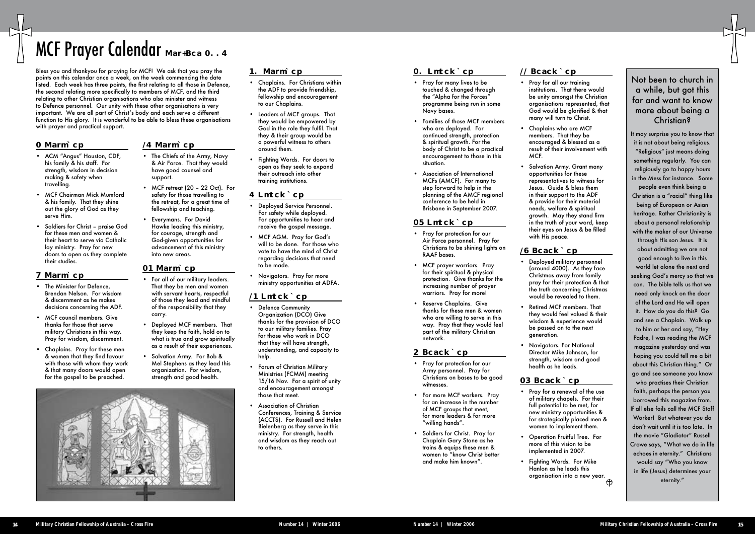### MCF Prayer Calendar Oct-Dec 2006

Bless you and thankyou for praying for MCF! We ask that you pray the points on this calendar once a week, on the week commencing the date listed. Each week has three points, the first relating to all those in Defence, the second relating more specifically to members of MCF, and the third relating to other Christian organisations who also minister and witness to Defence personnel. Our unity with these other organisations is very important. We are all part of Christ's body and each serve a different function to His glory. It is wonderful to be able to bless these organisations with prayer and practical support.

### Not been to church in a while, but got this far and want to know more about being a Christian?

It may surprise you to know that it is not about being religious. "Religious" just means doing something regularly. You can religiously go to happy hours in the Mess for instance. Some people even think being a Christian is a "racial" thing like being of European or Asian heritage. Rather Christianity is about a personal relationship with the maker of our Universe through His son Jesus. It is about admitting we are not good enough to live in this world let alone the next and seeking God's mercy so that we can. The bible tells us that we need only knock on the door of the Lord and He will open it. How do you do this? Go and see a Chaplain. Walk up to him or her and say, "Hey Padre, I was reading the MCF magazine yesterday and was hoping you could tell me a bit about this Christian thing." Or go and see someone you know who practises their Christian faith, perhaps the person you

borrowed this magazine from. If all else fails call the MCF Staff Worker! But whatever you do don't wait until it is too late. In the movie "Gladiator" Russell Crowe says, "What we do in life echoes in eternity." Christians would say "Who you know in life (Jesus) determines your eternity."

#### 2 October

- ACM "Angus" Houston, CDF, his family & his staff. For strength, wisdom in decision making & safety when travelling.
- MCF Chairman Mick Mumford & his family. That they shine out the glory of God as they serve Him.
- Soldiers for Christ praise God for these men and women & their heart to serve via Catholic lay ministry. Pray for new doors to open as they complete their studies.

- Defence Community Organization (DCO) Give thanks for the provision of DCO to our military families. Pray for those who work in DCO that they will have strength, understanding, and capacity to help.
- Forum of Christian Military Ministries (FCMM) meeting 15/16 Nov. For a spirit of unity and encouragement amongst those that meet.
- Association of Christian Conferences, Training & Service (ACCTS). For Russell and Helen Bielenberg as they serve in this ministry. For strength, health and wisdom as they reach out to others.

#### 9 October

- The Minister for Defence, Brendan Nelson. For wisdom & discernment as he makes decisions concerning the ADF.
- **MCF** council members. Give thanks for those that serve military Christians in this way. Pray for wisdom, discernment.
- Chaplains. Pray for these men & women that they find favour with those with whom they work & that many doors would open for the gospel to be preached.

### 16 October

- The Chiefs of the Army, Navy & Air Force. That they would have good counsel and support.
- MCF retreat (20 22 Oct). For safety for those travelling to the retreat, for a great time of fellowship and teaching.
- Everymans. For David Hawke leading this ministry, for courage, strength and God-given opportunities for advancement of this ministry into new areas.

#### 23 October

- For all of our military leaders. That they be men and women with servant hearts, respectful of those they lead and mindful of the responsibility that they carry.
- Deployed MCF members. That they keep the faith, hold on to what is true and grow spiritually as a result of their experiences.
- Salvation Army. For Bob & Mel Stephens as they lead this organization. For wisdom, strength and good health.

![](_page_8_Picture_18.jpeg)

#### 30 October

Hanlon as he leads this organisation into a new year. $\bigoplus$ 

- Chaplains. For Christians within the ADF to provide friendship, fellowship and encouragement to our Chaplains.
- Leaders of MCF groups. That they would be empowered by God in the role they fulfil. That they & their group would be a powerful witness to others around them.
- Fighting Words. For doors to open as they seek to expand their outreach into other training institutions.

#### 6 November

- Deployed Service Personnel. For safety while deployed. For opportunities to hear and receive the gospel message.
- MCF AGM. Pray for God's will to be done. For those who vote to have the mind of Christ regarding decisions that need to be made.
- Navigators. Pray for more ministry opportunities at ADFA.

#### 13 November

#### 20 November

- Pray for many lives to be touched & changed through the "Alpha for the Forces" programme being run in some Navy bases.
- Families of those MCF members who are deployed. For continued strength, protection & spiritual growth. For the body of Christ to be a practical encouragement to those in this situation.
- Association of International MCFs (AMCF). For many to step forward to help in the planning of the AMCF regional conference to be held in Brisbane in September 2007.

#### 27 November

- Pray for protection for our Air Force personnel. Pray for Christians to be shining lights on RAAF bases.
- MCF prayer warriors. Pray for their spiritual & physical protection. Give thanks for the increasing number of prayer warriors. Pray for more!
- Reserve Chaplains. Give thanks for these men & women who are willing to serve in this way. Pray that they would feel part of the military Christian network.

#### 4 December

- Pray for protection for our Army personnel. Pray for Christians on bases to be good witnesses.
- For more MCF workers. Pray for an increase in the number of MCF groups that meet, for more leaders & for more "willing hands".
- Soldiers for Christ. Pray for Chaplain Gary Stone as he trains & equips these men & women to "know Christ better and make him known".

#### 11 December

- Pray for all our training institutions. That there would be unity amongst the Christian organisations represented, that God would be glorified & that many will turn to Christ.
- Chaplains who are MCF members. That they be encouraged & blessed as a result of their involvement with MCF.
- Salvation Army. Grant many opportunities for these representatives to witness for Jesus. Guide & bless them in their support to the ADF & provide for their material needs, welfare & spiritual growth. May they stand firm in the truth of your word, keep their eyes on Jesus & be filled with His peace.

#### 18 December

- Deployed military personnel (around 4000). As they face Christmas away from family pray for their protection & that the truth concerning Christmas would be revealed to them.
- Retired MCF members. That they would feel valued & their wisdom & experience would be passed on to the next generation.
- Navigators. For National Director Mike Johnson, for strength, wisdom and good health as he leads.

#### 25 December

- Pray for a renewal of the use of military chapels. For their full potential to be met, for new ministry opportunities & for strategically placed men & women to implement them.
- Operation Fruitful Tree. For more of this vision to be implemented in 2007. • Fighting Words. For Mike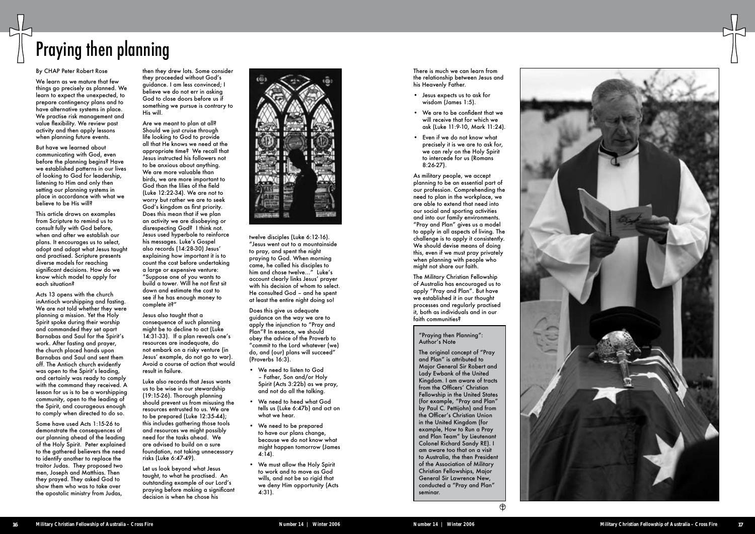![](_page_9_Picture_31.jpeg)

We learn as we mature that few things go precisely as planned. We learn to expect the unexpected, to prepare contingency plans and to have alternative systems in place. We practise risk management and value flexibility. We review past activity and then apply lessons when planning future events.

#### By CHAP Peter Robert Rose

But have we learned about communicating with God, even before the planning begins? Have we established patterns in our lives of looking to God for leadership, listening to Him and only then setting our planning systems in place in accordance with what we believe to be His will?

This article draws on examples from Scripture to remind us to consult fully with God before, when and after we establish our plans. It encourages us to select, adopt and adapt what Jesus taught and practised. Scripture presents diverse models for reaching significant decisions. How do we know which model to apply for each situation?

Acts 13 opens with the church inAntioch worshipping and fasting. We are not told whether they were planning a mission. Yet the Holy Spirit spoke during their worship and commanded they set apart Barnabas and Saul for the Spirit's work. After fasting and prayer, the church placed hands upon Barnabas and Saul and sent them off. The Antioch church evidently was open to the Spirit's leading, and certainly was ready to comply with the command they received. A lesson for us is to be a worshipping community, open to the leading of the Spirit, and courageous enough to comply when directed to do so.

Some have used Acts 1:15-26 to demonstrate the consequences of our planning ahead of the leading of the Holy Spirit. Peter explained to the gathered believers the need to identify another to replace the traitor Judas. They proposed two men, Joseph and Matthias. Then they prayed. They asked God to show them who was to take over the apostolic ministry from Judas,

## Praying then planning

then they drew lots. Some consider they proceeded without God's guidance. I am less convinced; I believe we do not err in asking God to close doors before us if something we pursue is contrary to His will.

Are we meant to plan at all? Should we just cruise through life looking to God to provide all that He knows we need at the appropriate time? We recall that Jesus instructed his followers not to be anxious about anything. We are more valuable than birds, we are more important to God than the lilies of the field (Luke 12:22-34). We are not to worry but rather we are to seek God's kingdom as first priority. Does this mean that if we plan an activity we are disobeying or disrespecting God? I think not. Jesus used hyperbole to reinforce his messages. Luke's Gospel also records (14:28-30) Jesus' explaining how important it is to count the cost before undertaking a large or expensive venture: "Suppose one of you wants to build a tower. Will he not first sit down and estimate the cost to see if he has enough money to complete it?"

Jesus also taught that a consequence of such planning might be to decline to act (Luke 14:31-33). If a plan reveals one's resources are inadequate, do not embark on a risky venture (in Jesus' example, do not go to war). Avoid a course of action that would result in failure.

Luke also records that Jesus wants us to be wise in our stewardship (19:15-26). Thorough planning should prevent us from misusing the resources entrusted to us. We are to be prepared (Luke 12:35-44); this includes gathering those tools and resources we might possibly need for the tasks ahead. We are advised to build on a sure foundation, not taking unnecessary risks (Luke 6:47-49).

Let us look beyond what Jesus taught, to what he practised. An outstanding example of our Lord's praying before making a significant decision is when he chose his

![](_page_9_Picture_12.jpeg)

twelve disciples (Luke 6:12-16). "Jesus went out to a mountainside to pray, and spent the night praying to God. When morning came, he called his disciples to him and chose twelve…" Luke's account clearly links Jesus' prayer with his decision of whom to select. He consulted God – and he spent at least the entire night doing so!

Does this give us adequate guidance on the way we are to apply the injunction to "Pray and Plan"? In essence, we should obey the advice of the Proverb to "commit to the Lord whatever (we) do, and (our) plans will succeed" (Proverbs 16:3).

- We need to listen to God – Father, Son and/or Holy Spirit (Acts 3:22b) as we pray, and not do all the talking.
- We need to heed what God tells us (Luke 6:47b) and act on what we hear.
- We need to be prepared to have our plans change, because we do not know what might happen tomorrow (James  $4:14$ ).
- We must allow the Holy Spirit to work and to move as God wills, and not be so rigid that we deny Him opportunity (Acts 4:31).

There is much we can learn from the relationship between Jesus and his Heavenly Father. • Jesus expects us to ask for

- wisdom (James 1:5).
- We are to be confident that we will receive that for which we ask (Luke 11:9-10, Mark 11:24).
- Even if we do not know what precisely it is we are to ask for, we can rely on the Holy Spirit to intercede for us (Romans 8:26-27).

As military people, we accept planning to be an essential part of our profession. Comprehending the need to plan in the workplace, we are able to extend that need into our social and sporting activities and into our family environments. "Pray and Plan" gives us a model to apply in all aspects of living. The challenge is to apply it consistently. We should devise means of doing this, even if we must pray privately when planning with people who might not share our faith.

The Military Christian Fellowship of Australia has encouraged us to apply "Pray and Plan". But have we established it in our thought processes and regularly practised it, both as individuals and in our faith communities?

#### "Praying then Planning": Author's Note

The original concept of "Pray and Plan" is attributed to Major General Sir Robert and Lady Ewbank of the United Kingdom. I am aware of tracts from the Officers' Christian Fellowship in the United States (for example, "Pray and Plan" by Paul C. Pettijohn) and from the Officer's Christian Union in the United Kingdom (for example, How to Run a Pray and Plan Team" by Lieutenant Colonel Richard Sandy RE). I am aware too that on a visit to Australia, the then President of the Association of Military Christian Fellowships, Major General Sir Lawrence New, conducted a "Pray and Plan" seminar.

 $\bigoplus$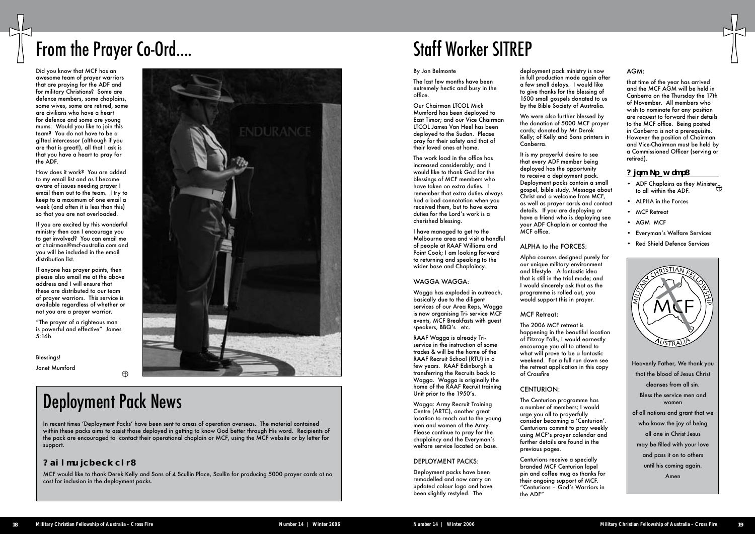![](_page_10_Picture_38.jpeg)

Did you know that MCF has an awesome team of prayer warriors that are praying for the ADF and for military Christians? Some are defence members, some chaplains, some wives, some are retired, some are civilians who have a heart for defence and some are young mums. Would you like to join this team? You do not have to be a gifted intercessor (although if you are that is great!), all that I ask is that you have a heart to pray for the ADF.

How does it work? You are added to my email list and as I become aware of issues needing prayer I email them out to the team. I try to keep to a maximum of one email a week (and often it is less than this) so that you are not overloaded.

If you are excited by this wonderful ministry then can I encourage you to get involved? You can email me at chairman@mcf-australia.com and you will be included in the email distribution list.

If anyone has prayer points, then please also email me at the above address and I will ensure that these are distributed to our team of prayer warriors. This service is available regardless of whether or not you are a prayer warrior.

"The prayer of a righteous man is powerful and effective" James 5:16b

Blessings!

Janet Mumford

![](_page_10_Picture_8.jpeg)

## From the Prayer Co-Ord....

### Deployment Pack News

 $\bigoplus$ 

In recent times 'Deployment Packs' have been sent to areas of operation overseas. The material contained within these packs aims to assist those deployed in getting to know God better through His word. Recipients of the pack are encouraged to contact their operational chaplain or MCF, using the MCF website or by letter for support.

#### Acknowledgement:

MCF would like to thank Derek Kelly and Sons of 4 Scullin Place, Scullin for producing 5000 prayer cards at no cost for inclusion in the deployment packs.

# Staff Worker SITREP

#### By Jon Belmonte

The last few months have been extremely hectic and busy in the office.

Our Chairman LTCOL Mick Mumford has been deployed to East Timor; and our Vice Chairman LTCOL James Van Heel has been deployed to the Sudan. Please pray for their safety and that of their loved ones at home.

The work load in the office has increased considerably; and I would like to thank God for the blessings of MCF members who have taken on extra duties. I remember that extra duties always had a bad connotation when you received them, but to have extra duties for the Lord's work is a cherished blessing.

I have managed to get to the Melbourne area and visit a handful of people at RAAF Williams and Point Cook; I am looking forward to returning and speaking to the wider base and Chaplaincy.

#### WAGGA WAGGA:

Wagga has exploded in outreach, basically due to the diligent services of our Area Reps, Wagga is now organising Tri- service MCF events, MCF Breakfasts with guest speakers, BBQ's etc.

- ADF Chaplains as they Minister to all within the ADF.
- ALPHA in the Forces
- MCF Retreat
- AGM MCF
- Everyman's Welfare Services
- Red Shield Defence Services

RAAF Wagga is already Triservice in the instruction of some trades & will be the home of the RAAF Recruit School (RTU) in a few years. RAAF Edinburgh is transferring the Recruits back to Wagga. Wagga is originally the home of the RAAF Recruit training Unit prior to the 1950's.

Wagga: Army Recruit Training Centre (ARTC), another great location to reach out to the young men and women of the Army. Please continue to pray for the chaplaincy and the Everyman's welfare service located on base.

#### DEPLOYMENT PACKS:

Deployment packs have been remodelled and now carry an updated colour logo and have been slightly restyled. The

![](_page_10_Picture_48.jpeg)

deployment pack ministry is now in full production mode again after a few small delays. I would like to give thanks for the blessing of 1500 small gospels donated to us by the Bible Society of Australia.

We were also further blessed by the donation of 5000 MCF prayer cards; donated by Mr Derek Kelly; of Kelly and Sons printers in Canberra.

It is my prayerful desire to see that every ADF member being deployed has the opportunity to receive a deployment pack. Deployment packs contain a small gospel, bible study, Message about Christ and a welcome from MCF, as well as prayer cards and contact details. If you are deploying or have a friend who is deploying see your ADF Chaplain or contact the MCF office.

#### ALPHA to the FORCES:

Alpha courses designed purely for our unique military environment and lifestyle. A fantastic idea that is still in the trial mode; and I would sincerely ask that as the programme is rolled out, you would support this in prayer.

MCF Retreat:

The 2006 MCF retreat is happening in the beautiful location of Fitzroy Falls, I would earnestly encourage you all to attend to what will prove to be a fantastic weekend. For a full run down see the retreat application in this copy of Crossfire

#### CENTURION:

The Centurion programme has a number of members; I would urge you all to prayerfully consider becoming a 'Centurion'. Centurions commit to pray weekly using MCF's prayer calendar and further details are found in the previous pages.

Centurions receive a specially branded MCF Centurion lapel pin and coffee mug as thanks for their ongoing support of MCF. "Centurions – God's Warriors in the ADF"

#### AGM:

that time of the year has arrived and the MCF AGM will be held in Canberra on the Thursday the 17th of November. All members who wish to nominate for any position are request to forward their details to the MCF office. Being posted in Canberra is not a prerequisite. However the position of Chairman and Vice-Chairman must be held by a Commissioned Officer (serving or retired).

#### Also Pray for: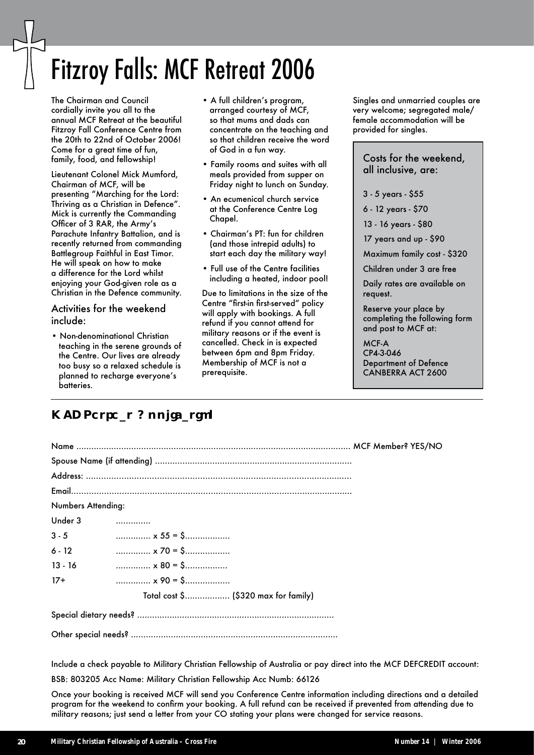## Fitzroy Falls: MCF Retreat 2006

The Chairman and Council cordially invite you all to the annual MCF Retreat at the beautiful Fitzroy Fall Conference Centre from the 20th to 22nd of October 2006! Come for a great time of fun, family, food, and fellowship!

Lieutenant Colonel Mick Mumford, Chairman of MCF, will be presenting "Marching for the Lord: Thriving as a Christian in Defence". Mick is currently the Commanding Officer of 3 RAR, the Army's Parachute Infantry Battalion, and is recently returned from commanding Battlegroup Faithful in East Timor. He will speak on how to make a difference for the Lord whilst enjoying your God-given role as a Christian in the Defence community.

#### Activities for the weekend include:

• Non-denominational Christian teaching in the serene grounds of the Centre. Our lives are already too busy so a relaxed schedule is planned to recharge everyone's batteries.

- A full children's program, arranged courtesy of MCF, so that mums and dads can concentrate on the teaching and so that children receive the word of God in a fun way.
- Family rooms and suites with all meals provided from supper on Friday night to lunch on Sunday.
- An ecumenical church service at the Conference Centre Log Chapel.
- Chairman's PT: fun for children (and those intrepid adults) to start each day the military way!
- Full use of the Centre facilities including a heated, indoor pool!

Due to limitations in the size of the Centre "first-in first-served" policy will apply with bookings. A full refund if you cannot attend for military reasons or if the event is cancelled. Check in is expected between 6pm and 8pm Friday. Membership of MCF is not a prerequisite.

Singles and unmarried couples are very welcome; segregated male/ female accommodation will be provided for singles.

Costs for the weekend, all inclusive, are:

3 - 5 years - \$55

6 - 12 years - \$70

13 - 16 years - \$80

17 years and up - \$90

Maximum family cost - \$320

Children under 3 are free

Daily rates are available on request.

Reserve your place by completing the following form and post to MCF at:

 $MCF<sub>-</sub>$ CP4-3-046 Department of Defence CANBERRA ACT 2600

### MCF Retreat Application

| <b>Numbers Attending:</b> |                                                                                              |
|---------------------------|----------------------------------------------------------------------------------------------|
| Under 3                   |                                                                                              |
| $3 - 5$                   | $\ldots$ $\ldots$ $\ldots$ $\ldots$ $\star$ 55 = \$ $\ldots$ $\ldots$ $\ldots$ $\ldots$      |
| $6 - 12$                  | $\ldots$ $\ldots$ $\ldots$ $\ldots$ $\mathsf{x}$ 70 = \$ $\ldots$ $\ldots$ $\ldots$ $\ldots$ |
| $13 - 16$                 | $\ldots$ $\ldots$ $\ldots$ $\ldots$ $\times$ 80 = \$ $\ldots$ $\ldots$ $\ldots$              |
| $17+$                     | $x 90 = 5$                                                                                   |
|                           | Total cost \$ (\$320 max for family)                                                         |
|                           |                                                                                              |

Other special needs? ...................................................................................

Include a check payable to Military Christian Fellowship of Australia or pay direct into the MCF DEFCREDIT account:

BSB: 803205 Acc Name: Military Christian Fellowship Acc Numb: 66126

Once your booking is received MCF will send you Conference Centre information including directions and a detailed program for the weekend to confirm your booking. A full refund can be received if prevented from attending due to military reasons; just send a letter from your CO stating your plans were changed for service reasons.